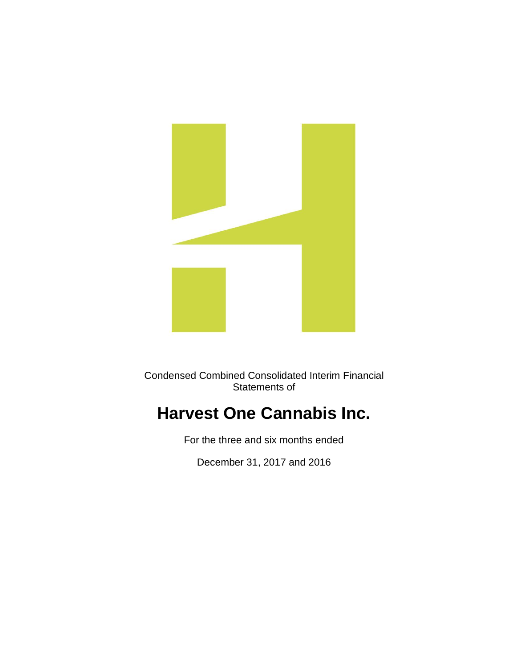

Condensed Combined Consolidated Interim Financial Statements of

# **Harvest One Cannabis Inc.**

For the three and six months ended

December 31, 2017 and 2016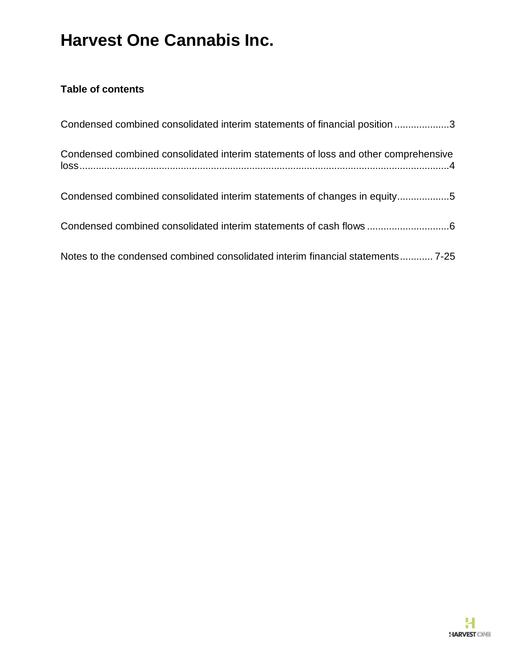## **Table of contents**

| Condensed combined consolidated interim statements of financial position 3         |
|------------------------------------------------------------------------------------|
| Condensed combined consolidated interim statements of loss and other comprehensive |
| Condensed combined consolidated interim statements of changes in equity5           |
| Condensed combined consolidated interim statements of cash flows 6                 |
| Notes to the condensed combined consolidated interim financial statements 7-25     |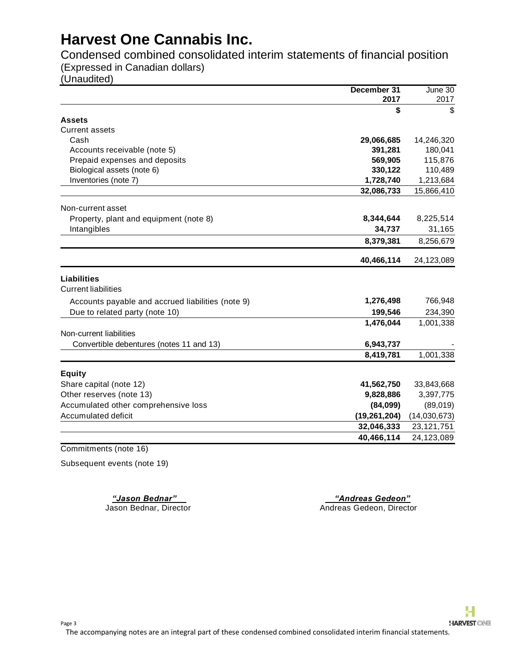Condensed combined consolidated interim statements of financial position (Expressed in Canadian dollars)

(Unaudited)

|                                                   | December 31    | June 30      |
|---------------------------------------------------|----------------|--------------|
|                                                   | 2017           | 2017         |
|                                                   | \$             | S            |
| <b>Assets</b>                                     |                |              |
| <b>Current assets</b>                             |                |              |
| Cash                                              | 29,066,685     | 14,246,320   |
| Accounts receivable (note 5)                      | 391,281        | 180,041      |
| Prepaid expenses and deposits                     | 569,905        | 115,876      |
| Biological assets (note 6)                        | 330,122        | 110,489      |
| Inventories (note 7)                              | 1,728,740      | 1,213,684    |
|                                                   | 32,086,733     | 15,866,410   |
| Non-current asset                                 |                |              |
| Property, plant and equipment (note 8)            | 8,344,644      | 8,225,514    |
| Intangibles                                       | 34,737         | 31,165       |
|                                                   | 8,379,381      | 8,256,679    |
|                                                   | 40,466,114     | 24,123,089   |
| <b>Liabilities</b>                                |                |              |
| <b>Current liabilities</b>                        |                |              |
| Accounts payable and accrued liabilities (note 9) | 1,276,498      | 766,948      |
| Due to related party (note 10)                    | 199,546        | 234,390      |
|                                                   | 1,476,044      | 1,001,338    |
| Non-current liabilities                           |                |              |
| Convertible debentures (notes 11 and 13)          | 6,943,737      |              |
|                                                   | 8,419,781      | 1,001,338    |
| <b>Equity</b>                                     |                |              |
| Share capital (note 12)                           | 41,562,750     | 33,843,668   |
| Other reserves (note 13)                          | 9,828,886      | 3,397,775    |
| Accumulated other comprehensive loss              | (84,099)       | (89,019)     |
| Accumulated deficit                               | (19, 261, 204) | (14,030,673) |
|                                                   | 32,046,333     | 23,121,751   |
|                                                   | 40,466,114     | 24,123,089   |

Commitments (note 16)

Subsequent events (note 19)

*"Jason Bednar" "Andreas Gedeon"* Jason Bednar, Director Andreas Gedeon, Director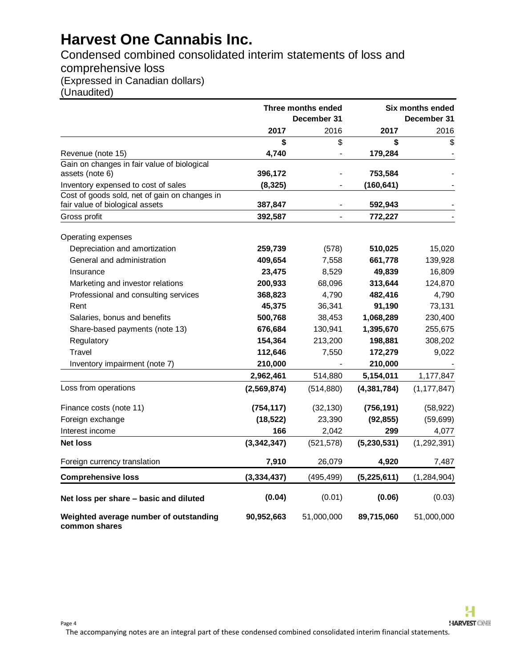## Condensed combined consolidated interim statements of loss and comprehensive loss (Expressed in Canadian dollars)

(Unaudited)

|                                                         |               | Three months ended<br>December 31 |               | Six months ended<br>December 31 |
|---------------------------------------------------------|---------------|-----------------------------------|---------------|---------------------------------|
|                                                         | 2017          | 2016                              | 2017          | 2016                            |
|                                                         | \$            | \$                                | \$            | \$                              |
| Revenue (note 15)                                       | 4,740         | $\overline{a}$                    | 179,284       |                                 |
| Gain on changes in fair value of biological             |               |                                   |               |                                 |
| assets (note 6)                                         | 396,172       |                                   | 753,584       |                                 |
| Inventory expensed to cost of sales                     | (8, 325)      |                                   | (160, 641)    |                                 |
| Cost of goods sold, net of gain on changes in           |               |                                   |               |                                 |
| fair value of biological assets                         | 387,847       |                                   | 592,943       |                                 |
| Gross profit                                            | 392,587       |                                   | 772,227       |                                 |
| Operating expenses                                      |               |                                   |               |                                 |
| Depreciation and amortization                           | 259,739       | (578)                             | 510,025       | 15,020                          |
| General and administration                              | 409,654       | 7,558                             | 661,778       | 139,928                         |
| Insurance                                               | 23,475        | 8,529                             | 49,839        | 16,809                          |
| Marketing and investor relations                        | 200,933       | 68,096                            | 313,644       | 124,870                         |
| Professional and consulting services                    | 368,823       | 4,790                             | 482,416       | 4,790                           |
| Rent                                                    | 45,375        | 36,341                            | 91,190        | 73,131                          |
| Salaries, bonus and benefits                            | 500,768       | 38,453                            | 1,068,289     | 230,400                         |
| Share-based payments (note 13)                          | 676,684       | 130,941                           | 1,395,670     | 255,675                         |
| Regulatory                                              | 154,364       | 213,200                           | 198,881       | 308,202                         |
| Travel                                                  | 112,646       | 7,550                             | 172,279       | 9,022                           |
| Inventory impairment (note 7)                           | 210,000       |                                   | 210,000       |                                 |
|                                                         | 2,962,461     | 514,880                           | 5,154,011     | 1,177,847                       |
| Loss from operations                                    | (2,569,874)   | (514, 880)                        | (4, 381, 784) | (1, 177, 847)                   |
| Finance costs (note 11)                                 | (754, 117)    | (32, 130)                         | (756, 191)    | (58, 922)                       |
| Foreign exchange                                        | (18, 522)     | 23,390                            | (92, 855)     | (59, 699)                       |
| Interest income                                         | 166           | 2,042                             | 299           | 4,077                           |
| <b>Net loss</b>                                         | (3, 342, 347) | (521, 578)                        | (5,230,531)   | (1, 292, 391)                   |
| Foreign currency translation                            | 7,910         | 26,079                            | 4,920         | 7,487                           |
| <b>Comprehensive loss</b>                               | (3, 334, 437) | (495, 499)                        | (5,225,611)   | (1, 284, 904)                   |
| Net loss per share - basic and diluted                  | (0.04)        | (0.01)                            | (0.06)        | (0.03)                          |
| Weighted average number of outstanding<br>common shares | 90,952,663    | 51,000,000                        | 89,715,060    | 51,000,000                      |

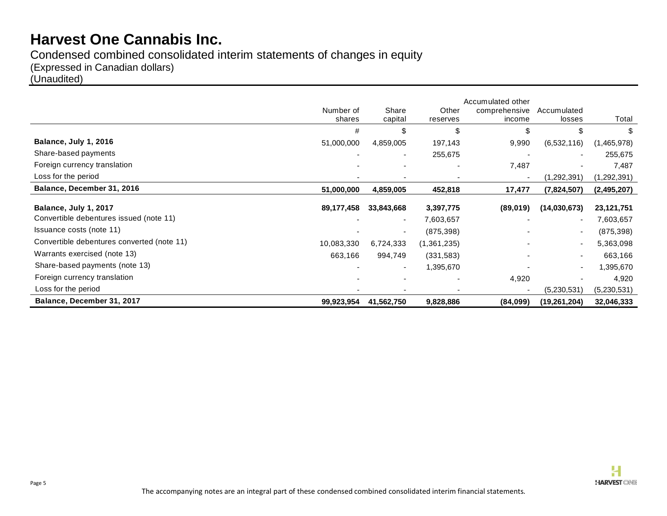Condensed combined consolidated interim statements of changes in equity (Expressed in Canadian dollars) (Unaudited)

|                                            |                     |                          |                   | Accumulated other       |                       |               |
|--------------------------------------------|---------------------|--------------------------|-------------------|-------------------------|-----------------------|---------------|
|                                            | Number of<br>shares | Share<br>capital         | Other<br>reserves | comprehensive<br>income | Accumulated<br>losses | Total         |
|                                            |                     |                          |                   |                         |                       |               |
|                                            | #                   | \$                       | \$                | \$                      |                       | \$            |
| Balance, July 1, 2016                      | 51,000,000          | 4,859,005                | 197,143           | 9,990                   | (6,532,116)           | (1,465,978)   |
| Share-based payments                       |                     | ٠                        | 255,675           |                         |                       | 255,675       |
| Foreign currency translation               |                     |                          |                   | 7,487                   |                       | 7,487         |
| Loss for the period                        |                     |                          |                   |                         | (1,292,391)           | (1, 292, 391) |
| Balance, December 31, 2016                 | 51,000,000          | 4,859,005                | 452,818           | 17,477                  | (7,824,507)           | (2, 495, 207) |
|                                            |                     |                          |                   |                         |                       |               |
| Balance, July 1, 2017                      | 89,177,458          | 33,843,668               | 3,397,775         | (89,019)                | (14,030,673)          | 23,121,751    |
| Convertible debentures issued (note 11)    |                     | $\overline{\phantom{a}}$ | 7,603,657         |                         |                       | 7,603,657     |
| Issuance costs (note 11)                   |                     | $\overline{\phantom{a}}$ | (875, 398)        |                         |                       | (875, 398)    |
| Convertible debentures converted (note 11) | 10,083,330          | 6,724,333                | (1,361,235)       |                         |                       | 5,363,098     |
| Warrants exercised (note 13)               | 663,166             | 994,749                  | (331, 583)        |                         |                       | 663,166       |
| Share-based payments (note 13)             |                     | ۰                        | 1,395,670         |                         |                       | 1,395,670     |
| Foreign currency translation               |                     |                          |                   | 4,920                   |                       | 4,920         |
| Loss for the period                        |                     |                          |                   |                         | (5,230,531)           | (5,230,531)   |
| Balance, December 31, 2017                 | 99,923,954          | 41,562,750               | 9,828,886         | (84,099)                | (19, 261, 204)        | 32,046,333    |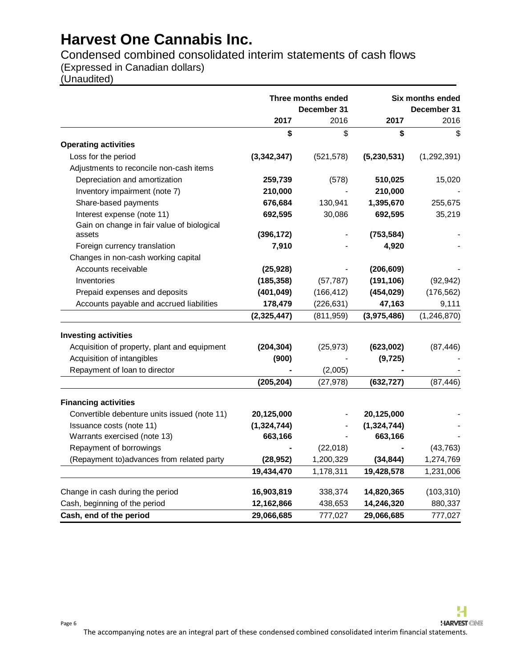Condensed combined consolidated interim statements of cash flows

(Expressed in Canadian dollars)

(Unaudited)

Page 6

|                                              |               | Three months ended<br>December 31 |               | Six months ended<br>December 31 |
|----------------------------------------------|---------------|-----------------------------------|---------------|---------------------------------|
|                                              | 2017          | 2016                              | 2017          | 2016                            |
|                                              | \$            | \$                                | \$            | \$                              |
| <b>Operating activities</b>                  |               |                                   |               |                                 |
| Loss for the period                          | (3,342,347)   | (521, 578)                        | (5,230,531)   | (1,292,391)                     |
| Adjustments to reconcile non-cash items      |               |                                   |               |                                 |
| Depreciation and amortization                | 259,739       | (578)                             | 510,025       | 15,020                          |
| Inventory impairment (note 7)                | 210,000       |                                   | 210,000       |                                 |
| Share-based payments                         | 676,684       | 130,941                           | 1,395,670     | 255,675                         |
| Interest expense (note 11)                   | 692,595       | 30,086                            | 692,595       | 35,219                          |
| Gain on change in fair value of biological   |               |                                   |               |                                 |
| assets                                       | (396, 172)    |                                   | (753, 584)    |                                 |
| Foreign currency translation                 | 7,910         |                                   | 4,920         |                                 |
| Changes in non-cash working capital          |               |                                   |               |                                 |
| Accounts receivable                          | (25, 928)     |                                   | (206, 609)    |                                 |
| Inventories                                  | (185, 358)    | (57, 787)                         | (191, 106)    | (92, 942)                       |
| Prepaid expenses and deposits                | (401, 049)    | (166, 412)                        | (454, 029)    | (176, 562)                      |
| Accounts payable and accrued liabilities     | 178,479       | (226, 631)                        | 47,163        | 9,111                           |
|                                              | (2,325,447)   | (811, 959)                        | (3,975,486)   | (1, 246, 870)                   |
| <b>Investing activities</b>                  |               |                                   |               |                                 |
| Acquisition of property, plant and equipment | (204, 304)    | (25, 973)                         | (623,002)     | (87, 446)                       |
| Acquisition of intangibles                   | (900)         |                                   | (9, 725)      |                                 |
| Repayment of loan to director                |               | (2,005)                           |               |                                 |
|                                              | (205, 204)    | (27, 978)                         | (632, 727)    | (87, 446)                       |
| <b>Financing activities</b>                  |               |                                   |               |                                 |
| Convertible debenture units issued (note 11) | 20,125,000    |                                   | 20,125,000    |                                 |
| Issuance costs (note 11)                     | (1, 324, 744) |                                   | (1, 324, 744) |                                 |
| Warrants exercised (note 13)                 | 663,166       |                                   | 663,166       |                                 |
| Repayment of borrowings                      |               | (22,018)                          |               | (43, 763)                       |
| (Repayment to) advances from related party   | (28, 952)     | 1,200,329                         | (34, 844)     | 1,274,769                       |
|                                              | 19,434,470    | 1,178,311                         | 19,428,578    | 1,231,006                       |
| Change in cash during the period             | 16,903,819    | 338,374                           | 14,820,365    | (103, 310)                      |
| Cash, beginning of the period                | 12,162,866    | 438,653                           | 14,246,320    | 880,337                         |
| Cash, end of the period                      | 29,066,685    | 777,027                           | 29,066,685    | 777,027                         |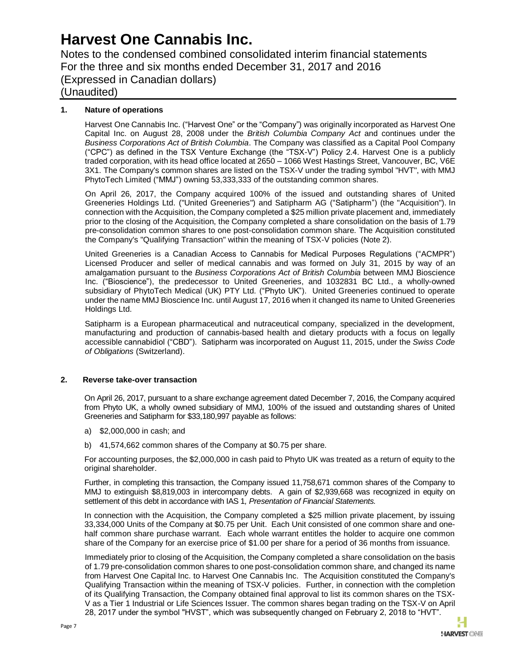Notes to the condensed combined consolidated interim financial statements For the three and six months ended December 31, 2017 and 2016 (Expressed in Canadian dollars) (Unaudited)

### **1. Nature of operations**

Harvest One Cannabis Inc. ("Harvest One" or the "Company") was originally incorporated as Harvest One Capital Inc. on August 28, 2008 under the *British Columbia Company Act* and continues under the *Business Corporations Act of British Columbia*. The Company was classified as a Capital Pool Company ("CPC") as defined in the TSX Venture Exchange (the "TSX-V") Policy 2.4. Harvest One is a publicly traded corporation, with its head office located at 2650 – 1066 West Hastings Street, Vancouver, BC, V6E 3X1. The Company's common shares are listed on the TSX-V under the trading symbol "HVT", with MMJ PhytoTech Limited ("MMJ") owning 53,333,333 of the outstanding common shares.

On April 26, 2017, the Company acquired 100% of the issued and outstanding shares of United Greeneries Holdings Ltd. ("United Greeneries") and Satipharm AG ("Satipharm") (the "Acquisition"). In connection with the Acquisition, the Company completed a \$25 million private placement and, immediately prior to the closing of the Acquisition, the Company completed a share consolidation on the basis of 1.79 pre-consolidation common shares to one post-consolidation common share. The Acquisition constituted the Company's "Qualifying Transaction" within the meaning of TSX-V policies (Note 2).

United Greeneries is a Canadian Access to Cannabis for Medical Purposes Regulations ("ACMPR") Licensed Producer and seller of medical cannabis and was formed on July 31, 2015 by way of an amalgamation pursuant to the *Business Corporations Act of British Columbia* between MMJ Bioscience Inc. ("Bioscience"), the predecessor to United Greeneries, and 1032831 BC Ltd., a wholly-owned subsidiary of PhytoTech Medical (UK) PTY Ltd. ("Phyto UK"). United Greeneries continued to operate under the name MMJ Bioscience Inc. until August 17, 2016 when it changed its name to United Greeneries Holdings Ltd.

Satipharm is a European pharmaceutical and nutraceutical company, specialized in the development, manufacturing and production of cannabis-based health and dietary products with a focus on legally accessible cannabidiol ("CBD"). Satipharm was incorporated on August 11, 2015, under the *Swiss Code of Obligations* (Switzerland).

#### **2. Reverse take-over transaction**

On April 26, 2017, pursuant to a share exchange agreement dated December 7, 2016, the Company acquired from Phyto UK, a wholly owned subsidiary of MMJ, 100% of the issued and outstanding shares of United Greeneries and Satipharm for \$33,180,997 payable as follows:

- a) \$2,000,000 in cash; and
- b) 41,574,662 common shares of the Company at \$0.75 per share.

For accounting purposes, the \$2,000,000 in cash paid to Phyto UK was treated as a return of equity to the original shareholder.

Further, in completing this transaction, the Company issued 11,758,671 common shares of the Company to MMJ to extinguish \$8,819,003 in intercompany debts. A gain of \$2,939,668 was recognized in equity on settlement of this debt in accordance with IAS 1*, Presentation of Financial Statements.*

In connection with the Acquisition, the Company completed a \$25 million private placement, by issuing 33,334,000 Units of the Company at \$0.75 per Unit. Each Unit consisted of one common share and onehalf common share purchase warrant. Each whole warrant entitles the holder to acquire one common share of the Company for an exercise price of \$1.00 per share for a period of 36 months from issuance.

Immediately prior to closing of the Acquisition, the Company completed a share consolidation on the basis of 1.79 pre-consolidation common shares to one post-consolidation common share, and changed its name from Harvest One Capital Inc. to Harvest One Cannabis Inc. The Acquisition constituted the Company's Qualifying Transaction within the meaning of TSX-V policies. Further, in connection with the completion of its Qualifying Transaction, the Company obtained final approval to list its common shares on the TSX-V as a Tier 1 Industrial or Life Sciences Issuer. The common shares began trading on the TSX-V on April 28, 2017 under the symbol "HVST", which was subsequently changed on February 2, 2018 to "HVT".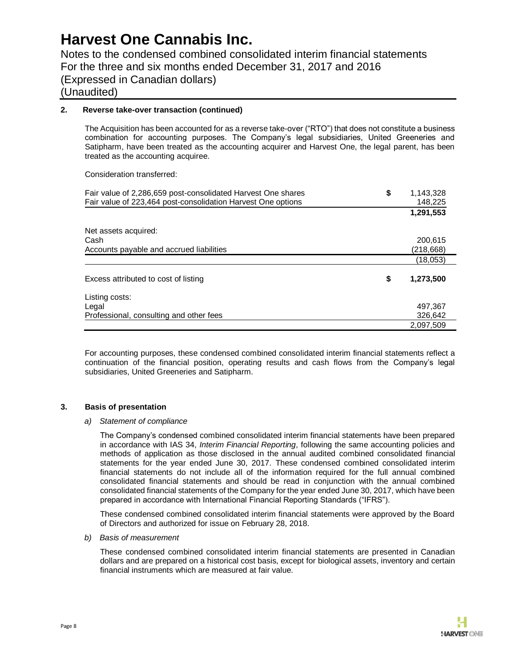Notes to the condensed combined consolidated interim financial statements For the three and six months ended December 31, 2017 and 2016 (Expressed in Canadian dollars) (Unaudited)

#### **2. Reverse take-over transaction (continued)**

The Acquisition has been accounted for as a reverse take-over ("RTO") that does not constitute a business combination for accounting purposes. The Company's legal subsidiaries, United Greeneries and Satipharm, have been treated as the accounting acquirer and Harvest One, the legal parent, has been treated as the accounting acquiree.

Consideration transferred:

| Fair value of 2,286,659 post-consolidated Harvest One shares | \$<br>1,143,328 |
|--------------------------------------------------------------|-----------------|
| Fair value of 223,464 post-consolidation Harvest One options | 148,225         |
|                                                              | 1,291,553       |
| Net assets acquired:                                         |                 |
| Cash                                                         | 200,615         |
| Accounts payable and accrued liabilities                     | (218,668)       |
|                                                              | (18,053)        |
| Excess attributed to cost of listing                         | \$<br>1,273,500 |
| Listing costs:                                               |                 |
| Legal                                                        | 497,367         |
| Professional, consulting and other fees                      | 326.642         |
|                                                              | 2.097.509       |

For accounting purposes, these condensed combined consolidated interim financial statements reflect a continuation of the financial position, operating results and cash flows from the Company's legal subsidiaries, United Greeneries and Satipharm.

#### **3. Basis of presentation**

#### *a) Statement of compliance*

The Company's condensed combined consolidated interim financial statements have been prepared in accordance with IAS 34, *Interim Financial Reporting*, following the same accounting policies and methods of application as those disclosed in the annual audited combined consolidated financial statements for the year ended June 30, 2017. These condensed combined consolidated interim financial statements do not include all of the information required for the full annual combined consolidated financial statements and should be read in conjunction with the annual combined consolidated financial statements of the Company for the year ended June 30, 2017, which have been prepared in accordance with International Financial Reporting Standards ("IFRS").

These condensed combined consolidated interim financial statements were approved by the Board of Directors and authorized for issue on February 28, 2018.

#### *b) Basis of measurement*

These condensed combined consolidated interim financial statements are presented in Canadian dollars and are prepared on a historical cost basis, except for biological assets, inventory and certain financial instruments which are measured at fair value.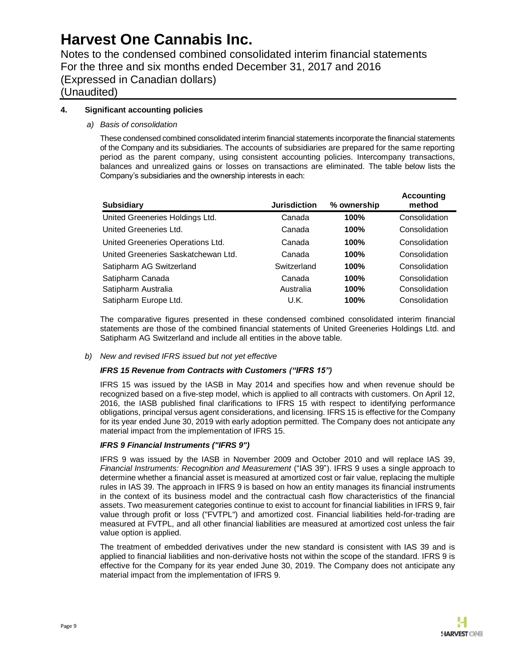Notes to the condensed combined consolidated interim financial statements For the three and six months ended December 31, 2017 and 2016 (Expressed in Canadian dollars)

(Unaudited)

### **4. Significant accounting policies**

### *a) Basis of consolidation*

These condensed combined consolidated interim financial statements incorporate the financial statements of the Company and its subsidiaries. The accounts of subsidiaries are prepared for the same reporting period as the parent company, using consistent accounting policies. Intercompany transactions, balances and unrealized gains or losses on transactions are eliminated. The table below lists the Company's subsidiaries and the ownership interests in each:

| <b>Subsidiary</b>                   | <b>Jurisdiction</b> | % ownership | <b>Accounting</b><br>method |
|-------------------------------------|---------------------|-------------|-----------------------------|
| United Greeneries Holdings Ltd.     | Canada              | 100%        | Consolidation               |
| United Greeneries Ltd.              | Canada              | 100%        | Consolidation               |
| United Greeneries Operations Ltd.   | Canada              | 100%        | Consolidation               |
| United Greeneries Saskatchewan Ltd. | Canada              | 100%        | Consolidation               |
| Satipharm AG Switzerland            | Switzerland         | 100%        | Consolidation               |
| Satipharm Canada                    | Canada              | 100%        | Consolidation               |
| Satipharm Australia                 | Australia           | 100%        | Consolidation               |
| Satipharm Europe Ltd.               | U.K.                | 100%        | Consolidation               |

The comparative figures presented in these condensed combined consolidated interim financial statements are those of the combined financial statements of United Greeneries Holdings Ltd. and Satipharm AG Switzerland and include all entities in the above table.

#### *b) New and revised IFRS issued but not yet effective*

### *IFRS 15 Revenue from Contracts with Customers ("IFRS 15")*

IFRS 15 was issued by the IASB in May 2014 and specifies how and when revenue should be recognized based on a five-step model, which is applied to all contracts with customers. On April 12, 2016, the IASB published final clarifications to IFRS 15 with respect to identifying performance obligations, principal versus agent considerations, and licensing. IFRS 15 is effective for the Company for its year ended June 30, 2019 with early adoption permitted. The Company does not anticipate any material impact from the implementation of IFRS 15.

### *IFRS 9 Financial Instruments ("IFRS 9")*

IFRS 9 was issued by the IASB in November 2009 and October 2010 and will replace IAS 39, *Financial Instruments: Recognition and Measurement* ("IAS 39"). IFRS 9 uses a single approach to determine whether a financial asset is measured at amortized cost or fair value, replacing the multiple rules in IAS 39. The approach in IFRS 9 is based on how an entity manages its financial instruments in the context of its business model and the contractual cash flow characteristics of the financial assets. Two measurement categories continue to exist to account for financial liabilities in IFRS 9, fair value through profit or loss ("FVTPL") and amortized cost. Financial liabilities held-for-trading are measured at FVTPL, and all other financial liabilities are measured at amortized cost unless the fair value option is applied.

The treatment of embedded derivatives under the new standard is consistent with IAS 39 and is applied to financial liabilities and non-derivative hosts not within the scope of the standard. IFRS 9 is effective for the Company for its year ended June 30, 2019. The Company does not anticipate any material impact from the implementation of IFRS 9.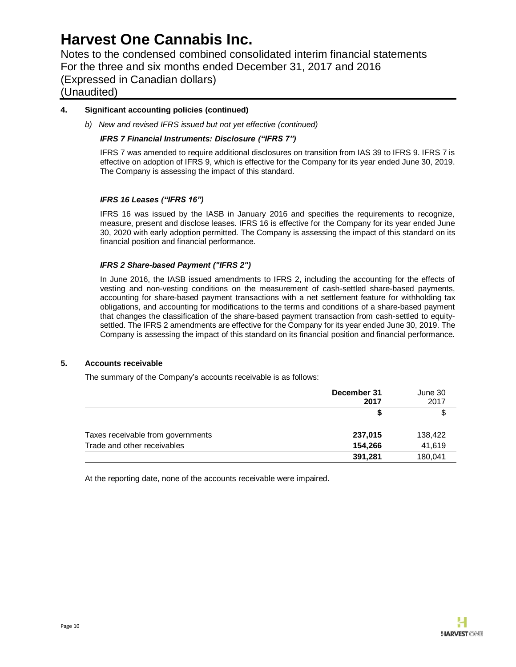Notes to the condensed combined consolidated interim financial statements For the three and six months ended December 31, 2017 and 2016 (Expressed in Canadian dollars)

(Unaudited)

### **4. Significant accounting policies (continued)**

*b) New and revised IFRS issued but not yet effective (continued)*

### *IFRS 7 Financial Instruments: Disclosure ("IFRS 7")*

IFRS 7 was amended to require additional disclosures on transition from IAS 39 to IFRS 9. IFRS 7 is effective on adoption of IFRS 9, which is effective for the Company for its year ended June 30, 2019. The Company is assessing the impact of this standard.

#### *IFRS 16 Leases ("IFRS 16")*

IFRS 16 was issued by the IASB in January 2016 and specifies the requirements to recognize, measure, present and disclose leases. IFRS 16 is effective for the Company for its year ended June 30, 2020 with early adoption permitted. The Company is assessing the impact of this standard on its financial position and financial performance.

#### *IFRS 2 Share-based Payment ("IFRS 2")*

In June 2016, the IASB issued amendments to IFRS 2, including the accounting for the effects of vesting and non-vesting conditions on the measurement of cash-settled share-based payments, accounting for share-based payment transactions with a net settlement feature for withholding tax obligations, and accounting for modifications to the terms and conditions of a share-based payment that changes the classification of the share-based payment transaction from cash-settled to equitysettled. The IFRS 2 amendments are effective for the Company for its year ended June 30, 2019. The Company is assessing the impact of this standard on its financial position and financial performance.

#### **5. Accounts receivable**

The summary of the Company's accounts receivable is as follows:

|                                   | December 31<br>2017 | June 30<br>2017 |
|-----------------------------------|---------------------|-----------------|
|                                   |                     | \$              |
| Taxes receivable from governments | 237,015             | 138,422         |
| Trade and other receivables       | 154,266             | 41,619          |
|                                   | 391,281             | 180,041         |

At the reporting date, none of the accounts receivable were impaired.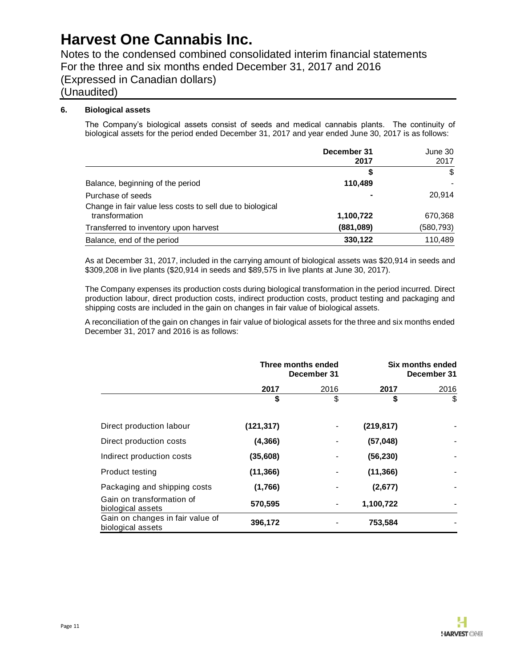Notes to the condensed combined consolidated interim financial statements For the three and six months ended December 31, 2017 and 2016 (Expressed in Canadian dollars)

## (Unaudited)

### **6. Biological assets**

The Company's biological assets consist of seeds and medical cannabis plants. The continuity of biological assets for the period ended December 31, 2017 and year ended June 30, 2017 is as follows:

|                                                           | December 31 | June 30    |
|-----------------------------------------------------------|-------------|------------|
|                                                           | 2017        | 2017       |
|                                                           | S           | \$         |
| Balance, beginning of the period                          | 110,489     |            |
| Purchase of seeds                                         |             | 20,914     |
| Change in fair value less costs to sell due to biological |             |            |
| transformation                                            | 1,100,722   | 670,368    |
| Transferred to inventory upon harvest                     | (881,089)   | (580, 793) |
| Balance, end of the period                                | 330,122     | 110,489    |

As at December 31, 2017, included in the carrying amount of biological assets was \$20,914 in seeds and \$309,208 in live plants (\$20,914 in seeds and \$89,575 in live plants at June 30, 2017).

The Company expenses its production costs during biological transformation in the period incurred. Direct production labour, direct production costs, indirect production costs, product testing and packaging and shipping costs are included in the gain on changes in fair value of biological assets.

A reconciliation of the gain on changes in fair value of biological assets for the three and six months ended December 31, 2017 and 2016 is as follows:

|                                                       |            | Three months ended<br>December 31 |            | Six months ended<br>December 31 |
|-------------------------------------------------------|------------|-----------------------------------|------------|---------------------------------|
|                                                       | 2017       | 2016                              | 2017       | 2016                            |
|                                                       | \$         | \$                                | \$         | \$                              |
| Direct production labour                              | (121, 317) |                                   | (219, 817) |                                 |
| Direct production costs                               | (4, 366)   |                                   | (57, 048)  |                                 |
| Indirect production costs                             | (35, 608)  |                                   | (56, 230)  |                                 |
| Product testing                                       | (11, 366)  |                                   | (11, 366)  |                                 |
| Packaging and shipping costs                          | (1,766)    |                                   | (2,677)    |                                 |
| Gain on transformation of<br>biological assets        | 570,595    |                                   | 1,100,722  |                                 |
| Gain on changes in fair value of<br>biological assets | 396,172    |                                   | 753,584    |                                 |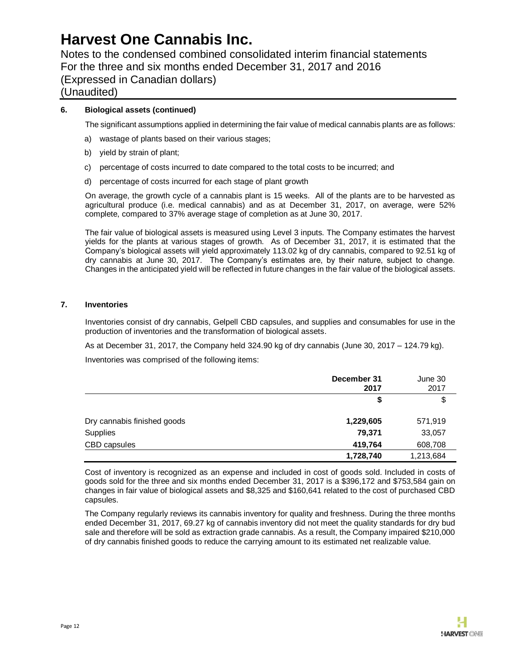Notes to the condensed combined consolidated interim financial statements For the three and six months ended December 31, 2017 and 2016 (Expressed in Canadian dollars)

## (Unaudited)

### **6. Biological assets (continued)**

The significant assumptions applied in determining the fair value of medical cannabis plants are as follows:

- a) wastage of plants based on their various stages;
- b) yield by strain of plant;
- c) percentage of costs incurred to date compared to the total costs to be incurred; and
- d) percentage of costs incurred for each stage of plant growth

On average, the growth cycle of a cannabis plant is 15 weeks. All of the plants are to be harvested as agricultural produce (i.e. medical cannabis) and as at December 31, 2017, on average, were 52% complete, compared to 37% average stage of completion as at June 30, 2017.

The fair value of biological assets is measured using Level 3 inputs. The Company estimates the harvest yields for the plants at various stages of growth. As of December 31, 2017, it is estimated that the Company's biological assets will yield approximately 113.02 kg of dry cannabis, compared to 92.51 kg of dry cannabis at June 30, 2017. The Company's estimates are, by their nature, subject to change. Changes in the anticipated yield will be reflected in future changes in the fair value of the biological assets.

#### **7. Inventories**

Inventories consist of dry cannabis, Gelpell CBD capsules, and supplies and consumables for use in the production of inventories and the transformation of biological assets.

As at December 31, 2017, the Company held 324.90 kg of dry cannabis (June 30, 2017 – 124.79 kg). Inventories was comprised of the following items:

|                             | December 31<br>2017 | June 30<br>2017 |
|-----------------------------|---------------------|-----------------|
|                             | \$                  | \$              |
| Dry cannabis finished goods | 1,229,605           | 571,919         |
| Supplies                    | 79.371              | 33,057          |
| CBD capsules                | 419,764             | 608,708         |
|                             | 1,728,740           | 1,213,684       |

Cost of inventory is recognized as an expense and included in cost of goods sold. Included in costs of goods sold for the three and six months ended December 31, 2017 is a \$396,172 and \$753,584 gain on changes in fair value of biological assets and \$8,325 and \$160,641 related to the cost of purchased CBD capsules.

The Company regularly reviews its cannabis inventory for quality and freshness. During the three months ended December 31, 2017, 69.27 kg of cannabis inventory did not meet the quality standards for dry bud sale and therefore will be sold as extraction grade cannabis. As a result, the Company impaired \$210,000 of dry cannabis finished goods to reduce the carrying amount to its estimated net realizable value.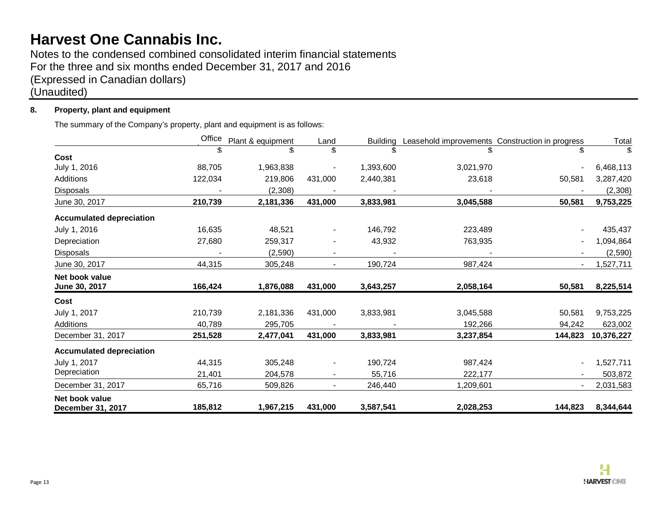Notes to the condensed combined consolidated interim financial statements For the three and six months ended December 31, 2017 and 2016 (Expressed in Canadian dollars) (Unaudited)

## **8. Property, plant and equipment**

The summary of the Company's property, plant and equipment is as follows:

|                                 | Office  | Plant & equipment | Land                     | <b>Building</b> | Leasehold improvements Construction in progress |                          | Total      |
|---------------------------------|---------|-------------------|--------------------------|-----------------|-------------------------------------------------|--------------------------|------------|
|                                 | \$      | \$                | \$                       | \$.             | \$                                              | \$.                      | \$         |
| <b>Cost</b>                     |         |                   |                          |                 |                                                 |                          |            |
| July 1, 2016                    | 88,705  | 1,963,838         |                          | 1,393,600       | 3,021,970                                       |                          | 6,468,113  |
| Additions                       | 122,034 | 219,806           | 431,000                  | 2,440,381       | 23,618                                          | 50,581                   | 3,287,420  |
| Disposals                       |         | (2,308)           |                          |                 |                                                 |                          | (2,308)    |
| June 30, 2017                   | 210,739 | 2,181,336         | 431,000                  | 3,833,981       | 3,045,588                                       | 50,581                   | 9,753,225  |
| <b>Accumulated depreciation</b> |         |                   |                          |                 |                                                 |                          |            |
| July 1, 2016                    | 16,635  | 48,521            | $\blacksquare$           | 146,792         | 223,489                                         |                          | 435,437    |
| Depreciation                    | 27,680  | 259,317           |                          | 43,932          | 763,935                                         |                          | 1,094,864  |
| Disposals                       |         | (2,590)           | $\blacksquare$           |                 |                                                 |                          | (2,590)    |
| June 30, 2017                   | 44,315  | 305,248           | $\overline{\phantom{a}}$ | 190,724         | 987,424                                         | $\blacksquare$           | 1,527,711  |
| Net book value                  |         |                   |                          |                 |                                                 |                          |            |
| June 30, 2017                   | 166,424 | 1,876,088         | 431,000                  | 3,643,257       | 2,058,164                                       | 50,581                   | 8,225,514  |
| Cost                            |         |                   |                          |                 |                                                 |                          |            |
| July 1, 2017                    | 210,739 | 2,181,336         | 431,000                  | 3,833,981       | 3,045,588                                       | 50,581                   | 9,753,225  |
| Additions                       | 40,789  | 295,705           |                          |                 | 192,266                                         | 94,242                   | 623,002    |
| December 31, 2017               | 251,528 | 2,477,041         | 431,000                  | 3,833,981       | 3,237,854                                       | 144,823                  | 10,376,227 |
| <b>Accumulated depreciation</b> |         |                   |                          |                 |                                                 |                          |            |
| July 1, 2017                    | 44,315  | 305,248           |                          | 190,724         | 987,424                                         |                          | 1,527,711  |
| Depreciation                    | 21,401  | 204,578           | $\blacksquare$           | 55,716          | 222,177                                         |                          | 503,872    |
| December 31, 2017               | 65,716  | 509,826           | $\overline{\phantom{a}}$ | 246,440         | 1,209,601                                       | $\overline{\phantom{0}}$ | 2,031,583  |
| Net book value                  |         |                   |                          |                 |                                                 |                          |            |
| December 31, 2017               | 185,812 | 1,967,215         | 431,000                  | 3,587,541       | 2,028,253                                       | 144,823                  | 8,344,644  |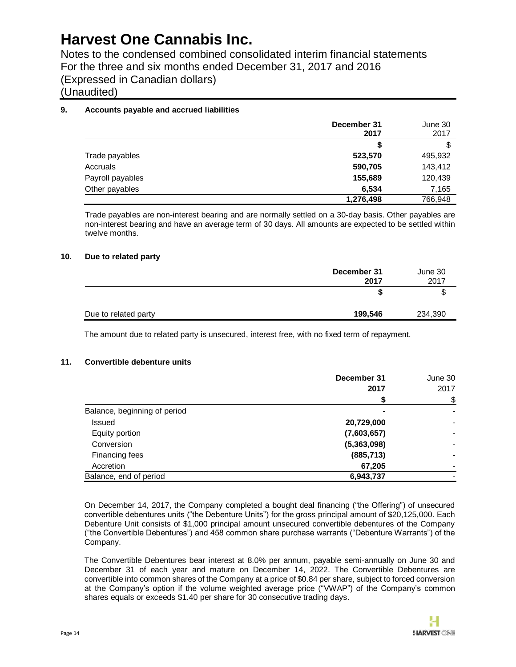Notes to the condensed combined consolidated interim financial statements For the three and six months ended December 31, 2017 and 2016 (Expressed in Canadian dollars) (Unaudited)

### **9. Accounts payable and accrued liabilities**

|                  | December 31<br>2017 | June 30<br>2017 |
|------------------|---------------------|-----------------|
|                  | S                   | S               |
| Trade payables   | 523,570             | 495,932         |
| Accruals         | 590,705             | 143,412         |
| Payroll payables | 155,689             | 120,439         |
| Other payables   | 6,534               | 7,165           |
|                  | 1,276,498           | 766,948         |

Trade payables are non-interest bearing and are normally settled on a 30-day basis. Other payables are non-interest bearing and have an average term of 30 days. All amounts are expected to be settled within twelve months.

#### **10. Due to related party**

|                      | December 31<br>2017 | June 30<br>2017 |
|----------------------|---------------------|-----------------|
|                      | S                   | \$              |
| Due to related party | 199,546             | 234,390         |

The amount due to related party is unsecured, interest free, with no fixed term of repayment.

#### **11. Convertible debenture units**

|                              | December 31 | June 30 |
|------------------------------|-------------|---------|
|                              | 2017        | 2017    |
|                              |             | \$      |
| Balance, beginning of period |             |         |
| <b>Issued</b>                | 20,729,000  |         |
| Equity portion               | (7,603,657) |         |
| Conversion                   | (5,363,098) |         |
| Financing fees               | (885, 713)  |         |
| Accretion                    | 67,205      |         |
| Balance, end of period       | 6,943,737   |         |

On December 14, 2017, the Company completed a bought deal financing ("the Offering") of unsecured convertible debentures units ("the Debenture Units") for the gross principal amount of \$20,125,000. Each Debenture Unit consists of \$1,000 principal amount unsecured convertible debentures of the Company ("the Convertible Debentures") and 458 common share purchase warrants ("Debenture Warrants") of the Company.

The Convertible Debentures bear interest at 8.0% per annum, payable semi-annually on June 30 and December 31 of each year and mature on December 14, 2022. The Convertible Debentures are convertible into common shares of the Company at a price of \$0.84 per share, subject to forced conversion at the Company's option if the volume weighted average price ("VWAP") of the Company's common shares equals or exceeds \$1.40 per share for 30 consecutive trading days.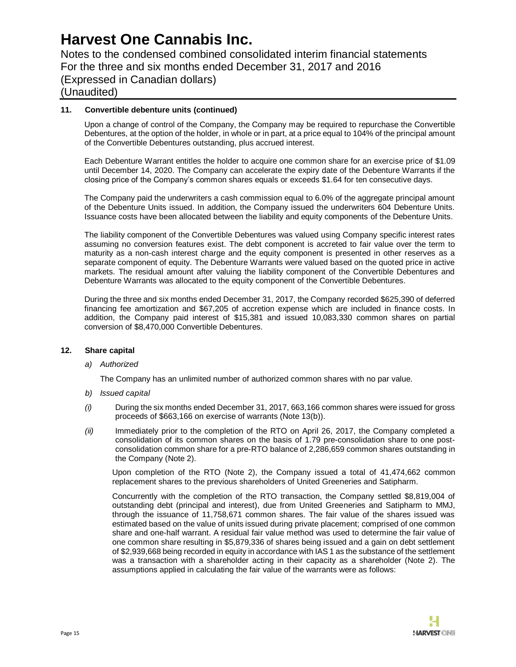Notes to the condensed combined consolidated interim financial statements For the three and six months ended December 31, 2017 and 2016 (Expressed in Canadian dollars) (Unaudited)

### **11. Convertible debenture units (continued)**

Upon a change of control of the Company, the Company may be required to repurchase the Convertible Debentures, at the option of the holder, in whole or in part, at a price equal to 104% of the principal amount of the Convertible Debentures outstanding, plus accrued interest.

Each Debenture Warrant entitles the holder to acquire one common share for an exercise price of \$1.09 until December 14, 2020. The Company can accelerate the expiry date of the Debenture Warrants if the closing price of the Company's common shares equals or exceeds \$1.64 for ten consecutive days.

The Company paid the underwriters a cash commission equal to 6.0% of the aggregate principal amount of the Debenture Units issued. In addition, the Company issued the underwriters 604 Debenture Units. Issuance costs have been allocated between the liability and equity components of the Debenture Units.

The liability component of the Convertible Debentures was valued using Company specific interest rates assuming no conversion features exist. The debt component is accreted to fair value over the term to maturity as a non-cash interest charge and the equity component is presented in other reserves as a separate component of equity. The Debenture Warrants were valued based on the quoted price in active markets. The residual amount after valuing the liability component of the Convertible Debentures and Debenture Warrants was allocated to the equity component of the Convertible Debentures.

During the three and six months ended December 31, 2017, the Company recorded \$625,390 of deferred financing fee amortization and \$67,205 of accretion expense which are included in finance costs. In addition, the Company paid interest of \$15,381 and issued 10,083,330 common shares on partial conversion of \$8,470,000 Convertible Debentures.

#### **12. Share capital**

#### *a) Authorized*

The Company has an unlimited number of authorized common shares with no par value.

- *b) Issued capital*
- *(i)* During the six months ended December 31, 2017, 663,166 common shares were issued for gross proceeds of \$663,166 on exercise of warrants (Note 13(b)).
- *(ii)* Immediately prior to the completion of the RTO on April 26, 2017, the Company completed a consolidation of its common shares on the basis of 1.79 pre-consolidation share to one postconsolidation common share for a pre-RTO balance of 2,286,659 common shares outstanding in the Company (Note 2).

Upon completion of the RTO (Note 2), the Company issued a total of 41,474,662 common replacement shares to the previous shareholders of United Greeneries and Satipharm.

Concurrently with the completion of the RTO transaction, the Company settled \$8,819,004 of outstanding debt (principal and interest), due from United Greeneries and Satipharm to MMJ, through the issuance of 11,758,671 common shares. The fair value of the shares issued was estimated based on the value of units issued during private placement; comprised of one common share and one-half warrant. A residual fair value method was used to determine the fair value of one common share resulting in \$5,879,336 of shares being issued and a gain on debt settlement of \$2,939,668 being recorded in equity in accordance with IAS 1 as the substance of the settlement was a transaction with a shareholder acting in their capacity as a shareholder (Note 2). The assumptions applied in calculating the fair value of the warrants were as follows: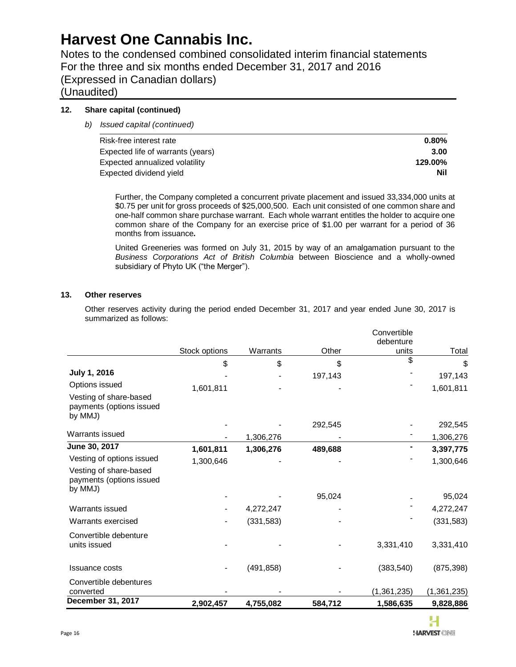Notes to the condensed combined consolidated interim financial statements For the three and six months ended December 31, 2017 and 2016 (Expressed in Canadian dollars)

(Unaudited)

### **12. Share capital (continued)**

*b) Issued capital (continued)*

| Risk-free interest rate           | $0.80\%$ |
|-----------------------------------|----------|
| Expected life of warrants (years) | 3.00     |
| Expected annualized volatility    | 129.00%  |
| Expected dividend yield           | Nil      |

Further, the Company completed a concurrent private placement and issued 33,334,000 units at \$0.75 per unit for gross proceeds of \$25,000,500. Each unit consisted of one common share and one-half common share purchase warrant. Each whole warrant entitles the holder to acquire one common share of the Company for an exercise price of \$1.00 per warrant for a period of 36 months from issuance**.**

United Greeneries was formed on July 31, 2015 by way of an amalgamation pursuant to the *Business Corporations Act of British Columbia* between Bioscience and a wholly-owned subsidiary of Phyto UK ("the Merger").

### **13. Other reserves**

Other reserves activity during the period ended December 31, 2017 and year ended June 30, 2017 is summarized as follows:

|                                                               |               |            |         | Convertible<br>debenture |               |
|---------------------------------------------------------------|---------------|------------|---------|--------------------------|---------------|
|                                                               | Stock options | Warrants   | Other   | units                    | Total         |
|                                                               | \$            | \$         | \$      | \$                       | \$            |
| July 1, 2016                                                  |               |            | 197,143 |                          | 197,143       |
| Options issued                                                | 1,601,811     |            |         |                          | 1,601,811     |
| Vesting of share-based<br>payments (options issued<br>by MMJ) |               |            |         |                          |               |
|                                                               |               |            | 292,545 |                          | 292,545       |
| Warrants issued                                               |               | 1,306,276  |         |                          | 1,306,276     |
| June 30, 2017                                                 | 1,601,811     | 1,306,276  | 489,688 |                          | 3,397,775     |
| Vesting of options issued                                     | 1,300,646     |            |         |                          | 1,300,646     |
| Vesting of share-based<br>payments (options issued<br>by MMJ) |               |            |         |                          |               |
|                                                               |               |            | 95,024  |                          | 95,024        |
| Warrants issued                                               |               | 4,272,247  |         |                          | 4,272,247     |
| Warrants exercised                                            |               | (331, 583) |         |                          | (331, 583)    |
| Convertible debenture<br>units issued                         |               |            |         | 3,331,410                | 3,331,410     |
| <b>Issuance costs</b>                                         |               | (491, 858) |         | (383, 540)               | (875, 398)    |
| Convertible debentures<br>converted                           |               |            |         | (1,361,235)              | (1, 361, 235) |
| December 31, 2017                                             | 2,902,457     | 4,755,082  | 584,712 | 1,586,635                | 9,828,886     |

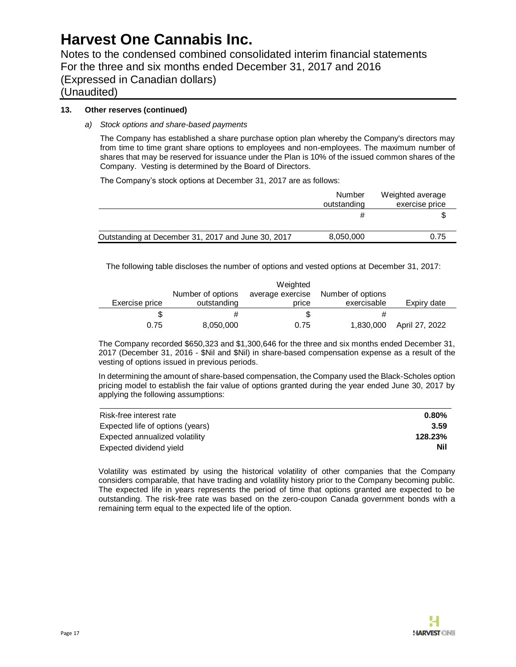Notes to the condensed combined consolidated interim financial statements For the three and six months ended December 31, 2017 and 2016 (Expressed in Canadian dollars)

(Unaudited)

### **13. Other reserves (continued)**

### *a) Stock options and share-based payments*

The Company has established a share purchase option plan whereby the Company's directors may from time to time grant share options to employees and non-employees. The maximum number of shares that may be reserved for issuance under the Plan is 10% of the issued common shares of the Company. Vesting is determined by the Board of Directors.

The Company's stock options at December 31, 2017 are as follows:

|                                                    | Number<br>outstanding | Weighted average<br>exercise price |
|----------------------------------------------------|-----------------------|------------------------------------|
|                                                    |                       |                                    |
| Outstanding at December 31, 2017 and June 30, 2017 | 8,050,000             | 0.75                               |

The following table discloses the number of options and vested options at December 31, 2017:

|                |                   | Weighted         |                   |                |
|----------------|-------------------|------------------|-------------------|----------------|
|                | Number of options | average exercise | Number of options |                |
| Exercise price | outstanding       | price            | exercisable       | Expiry date    |
|                |                   | S                |                   |                |
| 0.75           | 8,050,000         | 0.75             | 1,830,000         | April 27, 2022 |

The Company recorded \$650,323 and \$1,300,646 for the three and six months ended December 31, 2017 (December 31, 2016 - \$Nil and \$Nil) in share-based compensation expense as a result of the vesting of options issued in previous periods.

In determining the amount of share-based compensation, the Company used the Black-Scholes option pricing model to establish the fair value of options granted during the year ended June 30, 2017 by applying the following assumptions:

| Risk-free interest rate          | $0.80\%$ |
|----------------------------------|----------|
| Expected life of options (years) | 3.59     |
| Expected annualized volatility   | 128.23%  |
| Expected dividend yield          | Nil      |

Volatility was estimated by using the historical volatility of other companies that the Company considers comparable, that have trading and volatility history prior to the Company becoming public. The expected life in years represents the period of time that options granted are expected to be outstanding. The risk-free rate was based on the zero-coupon Canada government bonds with a remaining term equal to the expected life of the option.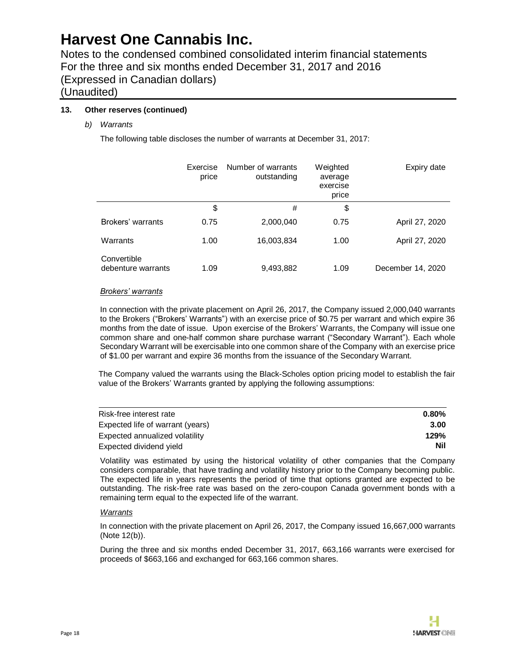Notes to the condensed combined consolidated interim financial statements For the three and six months ended December 31, 2017 and 2016 (Expressed in Canadian dollars)

## (Unaudited)

### **13. Other reserves (continued)**

*b) Warrants*

The following table discloses the number of warrants at December 31, 2017:

|                                   | Exercise<br>price | Number of warrants<br>outstanding | Weighted<br>average<br>exercise<br>price | Expiry date       |
|-----------------------------------|-------------------|-----------------------------------|------------------------------------------|-------------------|
|                                   | \$                | #                                 | \$                                       |                   |
| Brokers' warrants                 | 0.75              | 2,000,040                         | 0.75                                     | April 27, 2020    |
| Warrants                          | 1.00              | 16,003,834                        | 1.00                                     | April 27, 2020    |
| Convertible<br>debenture warrants | 1.09              | 9,493,882                         | 1.09                                     | December 14, 2020 |

#### *Brokers' warrants*

In connection with the private placement on April 26, 2017, the Company issued 2,000,040 warrants to the Brokers ("Brokers' Warrants") with an exercise price of \$0.75 per warrant and which expire 36 months from the date of issue. Upon exercise of the Brokers' Warrants, the Company will issue one common share and one-half common share purchase warrant ("Secondary Warrant"). Each whole Secondary Warrant will be exercisable into one common share of the Company with an exercise price of \$1.00 per warrant and expire 36 months from the issuance of the Secondary Warrant.

The Company valued the warrants using the Black-Scholes option pricing model to establish the fair value of the Brokers' Warrants granted by applying the following assumptions:

| Risk-free interest rate          | $0.80\%$   |
|----------------------------------|------------|
| Expected life of warrant (years) | 3.00       |
| Expected annualized volatility   | 129%       |
| Expected dividend yield          | <b>Nil</b> |

Volatility was estimated by using the historical volatility of other companies that the Company considers comparable, that have trading and volatility history prior to the Company becoming public. The expected life in years represents the period of time that options granted are expected to be outstanding. The risk-free rate was based on the zero-coupon Canada government bonds with a remaining term equal to the expected life of the warrant.

#### *Warrants*

In connection with the private placement on April 26, 2017, the Company issued 16,667,000 warrants (Note 12(b)).

During the three and six months ended December 31, 2017, 663,166 warrants were exercised for proceeds of \$663,166 and exchanged for 663,166 common shares.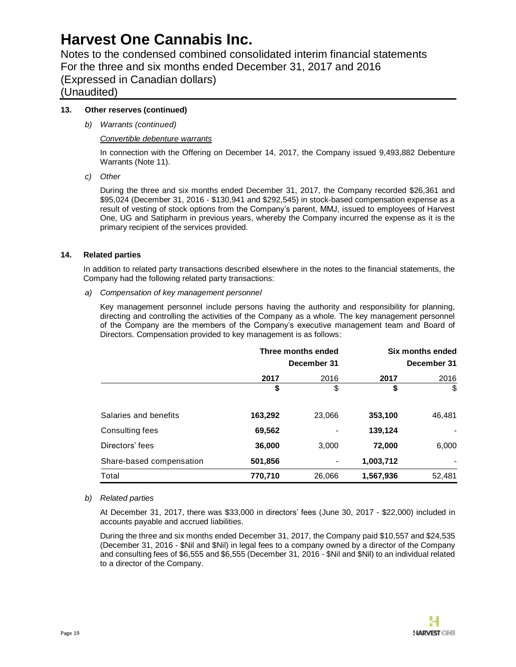Notes to the condensed combined consolidated interim financial statements For the three and six months ended December 31, 2017 and 2016 (Expressed in Canadian dollars)

## (Unaudited)

### **13. Other reserves (continued)**

*b) Warrants (continued)*

#### *Convertible debenture warrants*

In connection with the Offering on December 14, 2017, the Company issued 9,493,882 Debenture Warrants (Note 11).

*c) Other*

During the three and six months ended December 31, 2017, the Company recorded \$26,361 and \$95,024 (December 31, 2016 - \$130,941 and \$292,545) in stock-based compensation expense as a result of vesting of stock options from the Company's parent, MMJ, issued to employees of Harvest One, UG and Satipharm in previous years, whereby the Company incurred the expense as it is the primary recipient of the services provided.

### **14. Related parties**

In addition to related party transactions described elsewhere in the notes to the financial statements, the Company had the following related party transactions:

*a) Compensation of key management personnel*

Key management personnel include persons having the authority and responsibility for planning, directing and controlling the activities of the Company as a whole. The key management personnel of the Company are the members of the Company's executive management team and Board of Directors. Compensation provided to key management is as follows:

|                          | Three months ended<br>December 31 |        |           | Six months ended<br>December 31 |
|--------------------------|-----------------------------------|--------|-----------|---------------------------------|
|                          | 2017                              | 2016   | 2017      | 2016                            |
|                          | \$                                | \$     | \$        | \$                              |
| Salaries and benefits    | 163,292                           | 23,066 | 353,100   | 46,481                          |
| Consulting fees          | 69,562                            |        | 139,124   |                                 |
| Directors' fees          | 36,000                            | 3,000  | 72,000    | 6,000                           |
| Share-based compensation | 501,856                           |        | 1,003,712 |                                 |
| Total                    | 770,710                           | 26,066 | 1,567,936 | 52,481                          |

#### *b) Related parties*

At December 31, 2017, there was \$33,000 in directors' fees (June 30, 2017 - \$22,000) included in accounts payable and accrued liabilities.

During the three and six months ended December 31, 2017, the Company paid \$10,557 and \$24,535 (December 31, 2016 - \$Nil and \$Nil) in legal fees to a company owned by a director of the Company and consulting fees of \$6,555 and \$6,555 (December 31, 2016 - \$Nil and \$Nil) to an individual related to a director of the Company.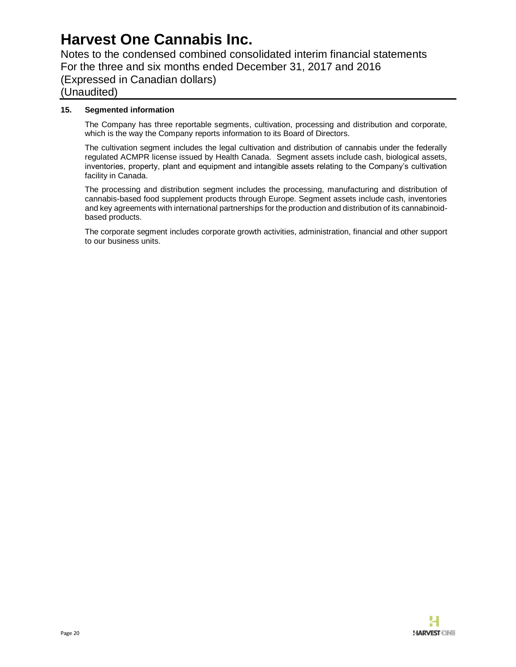Notes to the condensed combined consolidated interim financial statements For the three and six months ended December 31, 2017 and 2016 (Expressed in Canadian dollars) (Unaudited)

### **15. Segmented information**

The Company has three reportable segments, cultivation, processing and distribution and corporate, which is the way the Company reports information to its Board of Directors.

The cultivation segment includes the legal cultivation and distribution of cannabis under the federally regulated ACMPR license issued by Health Canada. Segment assets include cash, biological assets, inventories, property, plant and equipment and intangible assets relating to the Company's cultivation facility in Canada.

The processing and distribution segment includes the processing, manufacturing and distribution of cannabis-based food supplement products through Europe. Segment assets include cash, inventories and key agreements with international partnerships for the production and distribution of its cannabinoidbased products.

The corporate segment includes corporate growth activities, administration, financial and other support to our business units.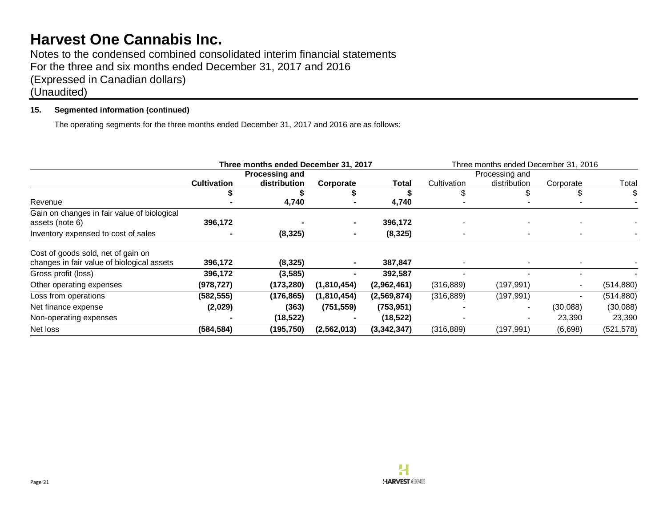Notes to the condensed combined consolidated interim financial statements For the three and six months ended December 31, 2017 and 2016 (Expressed in Canadian dollars) (Unaudited)

### **15. Segmented information (continued)**

The operating segments for the three months ended December 31, 2017 and 2016 are as follows:

|                                                                                  |                       | Three months ended December 31, 2017 |               |             | Three months ended December 31, 2016 |              |                |            |
|----------------------------------------------------------------------------------|-----------------------|--------------------------------------|---------------|-------------|--------------------------------------|--------------|----------------|------------|
|                                                                                  | <b>Processing and</b> |                                      |               |             | Processing and                       |              |                |            |
|                                                                                  | <b>Cultivation</b>    | distribution                         | Corporate     | Total       | Cultivation                          | distribution | Corporate      | Total      |
|                                                                                  |                       |                                      |               |             |                                      |              | S.             |            |
| Revenue                                                                          |                       | 4,740                                |               | 4,740       |                                      |              |                |            |
| Gain on changes in fair value of biological                                      |                       |                                      |               |             |                                      |              |                |            |
| assets (note 6)                                                                  | 396,172               |                                      |               | 396,172     |                                      |              |                |            |
| Inventory expensed to cost of sales                                              |                       | (8, 325)                             |               | (8, 325)    |                                      |              |                |            |
| Cost of goods sold, net of gain on<br>changes in fair value of biological assets | 396,172               | (8, 325)                             |               | 387,847     |                                      |              |                |            |
| Gross profit (loss)                                                              | 396,172               | (3, 585)                             |               | 392,587     |                                      |              |                |            |
| Other operating expenses                                                         | (978, 727)            | (173, 280)                           | (1,810,454)   | (2,962,461) | (316, 889)                           | (197, 991)   |                | (514, 880) |
| Loss from operations                                                             | (582, 555)            | (176.865)                            | (1,810,454)   | (2,569,874) | (316, 889)                           | (197, 991)   | $\blacksquare$ | (514, 880) |
| Net finance expense                                                              | (2,029)               | (363)                                | (751, 559)    | (753, 951)  |                                      |              | (30,088)       | (30,088)   |
| Non-operating expenses                                                           |                       | (18, 522)                            |               | (18, 522)   |                                      |              | 23,390         | 23,390     |
| Net loss                                                                         | (584, 584)            | (195,750)                            | (2, 562, 013) | (3,342,347) | (316, 889)                           | (197,991)    | (6,698)        | (521, 578) |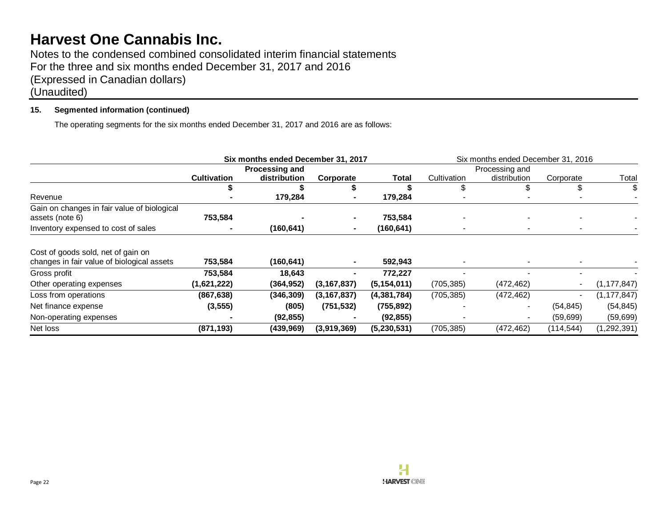Notes to the condensed combined consolidated interim financial statements For the three and six months ended December 31, 2017 and 2016 (Expressed in Canadian dollars) (Unaudited)

### **15. Segmented information (continued)**

The operating segments for the six months ended December 31, 2017 and 2016 are as follows:

|                                             | Six months ended December 31, 2017 |              |               |               | Six months ended December 31, 2016 |              |                          |               |
|---------------------------------------------|------------------------------------|--------------|---------------|---------------|------------------------------------|--------------|--------------------------|---------------|
|                                             | <b>Processing and</b>              |              |               |               | Processing and                     |              |                          |               |
|                                             | <b>Cultivation</b>                 | distribution | Corporate     | Total         | Cultivation                        | distribution | Corporate                | Total         |
|                                             |                                    |              |               |               |                                    |              | S                        |               |
| Revenue                                     |                                    | 179,284      |               | 179,284       |                                    |              |                          |               |
| Gain on changes in fair value of biological |                                    |              |               |               |                                    |              |                          |               |
| assets (note 6)                             | 753,584                            |              |               | 753,584       |                                    |              |                          |               |
| Inventory expensed to cost of sales         |                                    | (160, 641)   |               | (160, 641)    |                                    |              |                          |               |
| Cost of goods sold, net of gain on          |                                    |              |               |               |                                    |              |                          |               |
| changes in fair value of biological assets  | 753,584                            | (160, 641)   |               | 592,943       |                                    |              |                          |               |
| Gross profit                                | 753,584                            | 18,643       |               | 772,227       |                                    |              |                          |               |
| Other operating expenses                    | (1,621,222)                        | (364, 952)   | (3, 167, 837) | (5, 154, 011) | (705, 385)                         | (472, 462)   |                          | (1, 177, 847) |
| Loss from operations                        | (867, 638)                         | (346, 309)   | (3, 167, 837) | (4,381,784)   | (705, 385)                         | (472, 462)   | $\overline{\phantom{a}}$ | (1, 177, 847) |
| Net finance expense                         | (3, 555)                           | (805)        | (751, 532)    | (755, 892)    |                                    |              | (54, 845)                | (54, 845)     |
| Non-operating expenses                      |                                    | (92, 855)    |               | (92, 855)     |                                    |              | (59, 699)                | (59, 699)     |
| Net loss                                    | (871, 193)                         | (439, 969)   | (3,919,369)   | (5, 230, 531) | (705, 385)                         | (472, 462)   | (114, 544)               | (1, 292, 391) |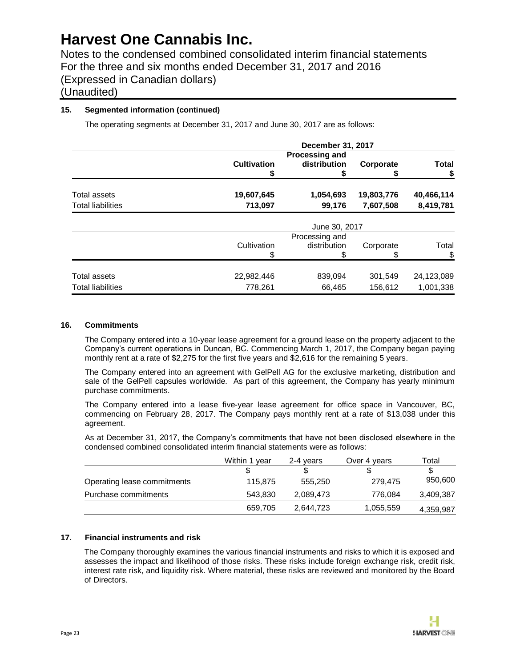Notes to the condensed combined consolidated interim financial statements For the three and six months ended December 31, 2017 and 2016 (Expressed in Canadian dollars)

# (Unaudited)

### **15. Segmented information (continued)**

The operating segments at December 31, 2017 and June 30, 2017 are as follows:

|                          | December 31, 2017  |                                       |            |                    |  |  |
|--------------------------|--------------------|---------------------------------------|------------|--------------------|--|--|
|                          | <b>Cultivation</b> | <b>Processing and</b><br>distribution | Corporate  | <b>Total</b><br>\$ |  |  |
| Total assets             | 19,607,645         | 1,054,693                             | 19,803,776 | 40,466,114         |  |  |
| <b>Total liabilities</b> | 713,097            | 99,176                                | 7,607,508  | 8,419,781          |  |  |
|                          | June 30, 2017      |                                       |            |                    |  |  |
|                          |                    | Processing and                        |            |                    |  |  |
|                          | Cultivation        | distribution                          | Corporate  | Total              |  |  |
|                          |                    |                                       |            |                    |  |  |
| Total assets             | 22,982,446         | 839,094                               | 301,549    | 24,123,089         |  |  |
| <b>Total liabilities</b> | 778,261            | 66,465                                | 156,612    | 1,001,338          |  |  |

#### **16. Commitments**

The Company entered into a 10-year lease agreement for a ground lease on the property adjacent to the Company's current operations in Duncan, BC. Commencing March 1, 2017, the Company began paying monthly rent at a rate of \$2,275 for the first five years and \$2,616 for the remaining 5 years.

The Company entered into an agreement with GelPell AG for the exclusive marketing, distribution and sale of the GelPell capsules worldwide. As part of this agreement, the Company has yearly minimum purchase commitments.

The Company entered into a lease five-year lease agreement for office space in Vancouver, BC, commencing on February 28, 2017. The Company pays monthly rent at a rate of \$13,038 under this agreement.

As at December 31, 2017, the Company's commitments that have not been disclosed elsewhere in the condensed combined consolidated interim financial statements were as follows:

|                             | Within 1 vear | 2-4 vears | Over 4 years | Total     |
|-----------------------------|---------------|-----------|--------------|-----------|
|                             |               |           |              | \$.       |
| Operating lease commitments | 115,875       | 555.250   | 279,475      | 950,600   |
| Purchase commitments        | 543.830       | 2,089,473 | 776.084      | 3,409,387 |
|                             | 659,705       | 2,644,723 | 1,055,559    | 4,359,987 |

### **17. Financial instruments and risk**

The Company thoroughly examines the various financial instruments and risks to which it is exposed and assesses the impact and likelihood of those risks. These risks include foreign exchange risk, credit risk, interest rate risk, and liquidity risk. Where material, these risks are reviewed and monitored by the Board of Directors.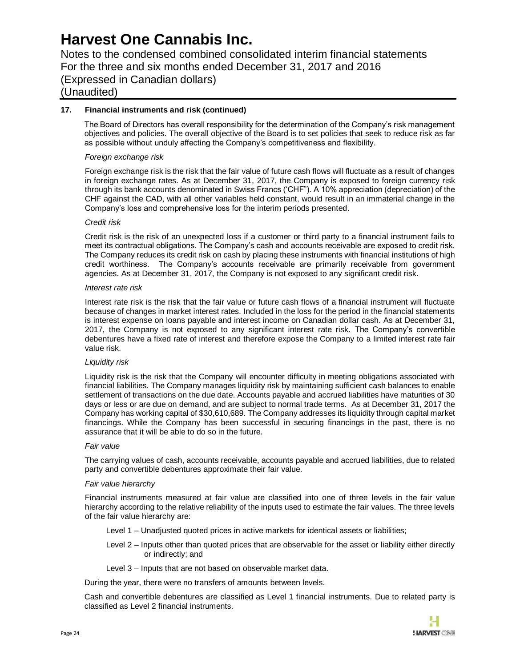Notes to the condensed combined consolidated interim financial statements For the three and six months ended December 31, 2017 and 2016 (Expressed in Canadian dollars) (Unaudited)

### **17. Financial instruments and risk (continued)**

The Board of Directors has overall responsibility for the determination of the Company's risk management objectives and policies. The overall objective of the Board is to set policies that seek to reduce risk as far as possible without unduly affecting the Company's competitiveness and flexibility.

#### *Foreign exchange risk*

Foreign exchange risk is the risk that the fair value of future cash flows will fluctuate as a result of changes in foreign exchange rates. As at December 31, 2017, the Company is exposed to foreign currency risk through its bank accounts denominated in Swiss Francs ('CHF"). A 10% appreciation (depreciation) of the CHF against the CAD, with all other variables held constant, would result in an immaterial change in the Company's loss and comprehensive loss for the interim periods presented.

#### *Credit risk*

Credit risk is the risk of an unexpected loss if a customer or third party to a financial instrument fails to meet its contractual obligations. The Company's cash and accounts receivable are exposed to credit risk. The Company reduces its credit risk on cash by placing these instruments with financial institutions of high credit worthiness. The Company's accounts receivable are primarily receivable from government agencies. As at December 31, 2017, the Company is not exposed to any significant credit risk.

#### *Interest rate risk*

Interest rate risk is the risk that the fair value or future cash flows of a financial instrument will fluctuate because of changes in market interest rates. Included in the loss for the period in the financial statements is interest expense on loans payable and interest income on Canadian dollar cash. As at December 31, 2017, the Company is not exposed to any significant interest rate risk. The Company's convertible debentures have a fixed rate of interest and therefore expose the Company to a limited interest rate fair value risk.

#### *Liquidity risk*

Liquidity risk is the risk that the Company will encounter difficulty in meeting obligations associated with financial liabilities. The Company manages liquidity risk by maintaining sufficient cash balances to enable settlement of transactions on the due date. Accounts payable and accrued liabilities have maturities of 30 days or less or are due on demand, and are subject to normal trade terms. As at December 31, 2017 the Company has working capital of \$30,610,689. The Company addresses its liquidity through capital market financings. While the Company has been successful in securing financings in the past, there is no assurance that it will be able to do so in the future.

#### *Fair value*

The carrying values of cash, accounts receivable, accounts payable and accrued liabilities, due to related party and convertible debentures approximate their fair value.

#### *Fair value hierarchy*

Financial instruments measured at fair value are classified into one of three levels in the fair value hierarchy according to the relative reliability of the inputs used to estimate the fair values. The three levels of the fair value hierarchy are:

- Level 1 Unadjusted quoted prices in active markets for identical assets or liabilities;
- Level 2 Inputs other than quoted prices that are observable for the asset or liability either directly or indirectly; and
- Level 3 Inputs that are not based on observable market data.

During the year, there were no transfers of amounts between levels.

Cash and convertible debentures are classified as Level 1 financial instruments. Due to related party is classified as Level 2 financial instruments.